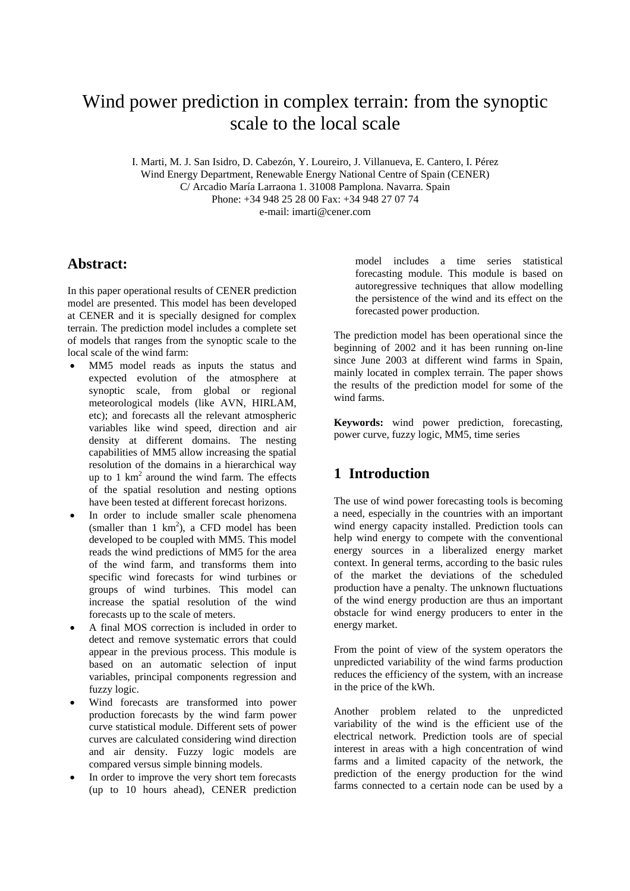# Wind power prediction in complex terrain: from the synoptic scale to the local scale

I. Marti, M. J. San Isidro, D. Cabezón, Y. Loureiro, J. Villanueva, E. Cantero, I. Pérez Wind Energy Department, Renewable Energy National Centre of Spain (CENER) C/ Arcadio María Larraona 1. 31008 Pamplona. Navarra. Spain Phone: +34 948 25 28 00 Fax: +34 948 27 07 74 e-mail: imarti@cener.com

## **Abstract:**

In this paper operational results of CENER prediction model are presented. This model has been developed at CENER and it is specially designed for complex terrain. The prediction model includes a complete set of models that ranges from the synoptic scale to the local scale of the wind farm:

- MM5 model reads as inputs the status and expected evolution of the atmosphere at synoptic scale, from global or regional meteorological models (like AVN, HIRLAM, etc); and forecasts all the relevant atmospheric variables like wind speed, direction and air density at different domains. The nesting capabilities of MM5 allow increasing the spatial resolution of the domains in a hierarchical way up to 1  $km^2$  around the wind farm. The effects of the spatial resolution and nesting options have been tested at different forecast horizons.
- In order to include smaller scale phenomena (smaller than  $1 \text{ km}^2$ ), a CFD model has been developed to be coupled with MM5. This model reads the wind predictions of MM5 for the area of the wind farm, and transforms them into specific wind forecasts for wind turbines or groups of wind turbines. This model can increase the spatial resolution of the wind forecasts up to the scale of meters.
- A final MOS correction is included in order to detect and remove systematic errors that could appear in the previous process. This module is based on an automatic selection of input variables, principal components regression and fuzzy logic.
- Wind forecasts are transformed into power production forecasts by the wind farm power curve statistical module. Different sets of power curves are calculated considering wind direction and air density. Fuzzy logic models are compared versus simple binning models.
- In order to improve the very short tem forecasts (up to 10 hours ahead), CENER prediction

model includes a time series statistical forecasting module. This module is based on autoregressive techniques that allow modelling the persistence of the wind and its effect on the forecasted power production.

The prediction model has been operational since the beginning of 2002 and it has been running on-line since June 2003 at different wind farms in Spain, mainly located in complex terrain. The paper shows the results of the prediction model for some of the wind farms.

**Keywords:** wind power prediction, forecasting, power curve, fuzzy logic, MM5, time series

# **1 Introduction**

The use of wind power forecasting tools is becoming a need, especially in the countries with an important wind energy capacity installed. Prediction tools can help wind energy to compete with the conventional energy sources in a liberalized energy market context. In general terms, according to the basic rules of the market the deviations of the scheduled production have a penalty. The unknown fluctuations of the wind energy production are thus an important obstacle for wind energy producers to enter in the energy market.

From the point of view of the system operators the unpredicted variability of the wind farms production reduces the efficiency of the system, with an increase in the price of the kWh.

Another problem related to the unpredicted variability of the wind is the efficient use of the electrical network. Prediction tools are of special interest in areas with a high concentration of wind farms and a limited capacity of the network, the prediction of the energy production for the wind farms connected to a certain node can be used by a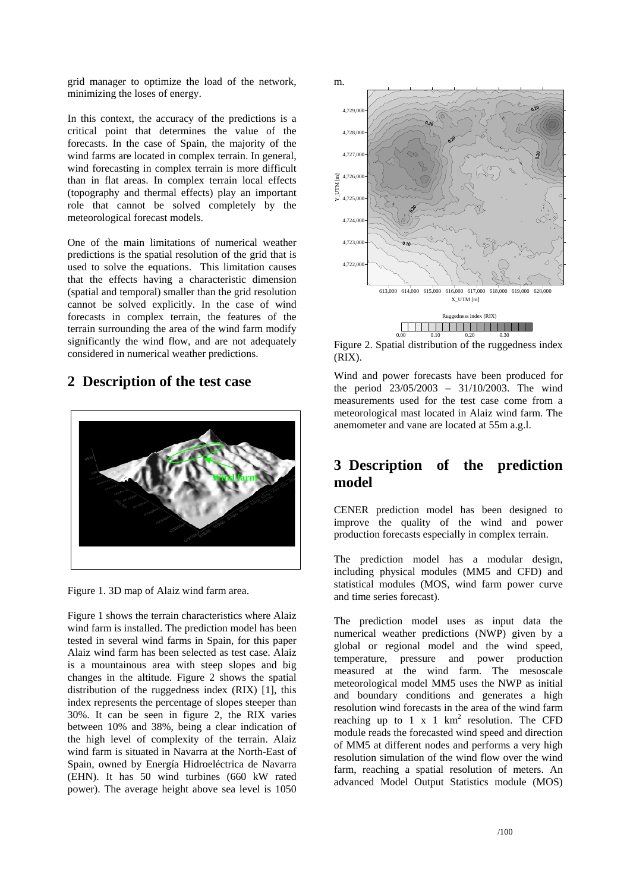grid manager to optimize the load of the network, minimizing the loses of energy.

In this context, the accuracy of the predictions is a critical point that determines the value of the forecasts. In the case of Spain, the majority of the wind farms are located in complex terrain. In general, wind forecasting in complex terrain is more difficult than in flat areas. In complex terrain local effects (topography and thermal effects) play an important role that cannot be solved completely by the meteorological forecast models.

One of the main limitations of numerical weather predictions is the spatial resolution of the grid that is used to solve the equations. This limitation causes that the effects having a characteristic dimension (spatial and temporal) smaller than the grid resolution cannot be solved explicitly. In the case of wind forecasts in complex terrain, the features of the terrain surrounding the area of the wind farm modify significantly the wind flow, and are not adequately considered in numerical weather predictions.

## **2 Description of the test case**



Figure 1. 3D map of Alaiz wind farm area.

Figure 1 shows the terrain characteristics where Alaiz wind farm is installed. The prediction model has been tested in several wind farms in Spain, for this paper Alaiz wind farm has been selected as test case. Alaiz is a mountainous area with steep slopes and big changes in the altitude. Figure 2 shows the spatial distribution of the ruggedness index (RIX) [1], this index represents the percentage of slopes steeper than 30%. It can be seen in figure 2, the RIX varies between 10% and 38%, being a clear indication of the high level of complexity of the terrain. Alaiz wind farm is situated in Navarra at the North-East of Spain, owned by Energía Hidroeléctrica de Navarra (EHN). It has 50 wind turbines (660 kW rated power). The average height above sea level is 1050



Figure 2. Spatial distribution of the ruggedness index (RIX).

Wind and power forecasts have been produced for the period 23/05/2003 – 31/10/2003. The wind measurements used for the test case come from a meteorological mast located in Alaiz wind farm. The anemometer and vane are located at 55m a.g.l.

# **3 Description of the prediction**  model

CENER prediction model has been designed to improve the quality of the wind and power production forecasts especially in complex terrain.

The prediction model has a modular design, including physical modules (MM5 and CFD) and statistical modules (MOS, wind farm power curve and time series forecast).

The prediction model uses as input data the numerical weather predictions (NWP) given by a global or regional model and the wind speed, temperature, pressure and power production measured at the wind farm. The mesoscale meteorological model MM5 uses the NWP as initial and boundary conditions and generates a high resolution wind forecasts in the area of the wind farm reaching up to 1 x 1  $km^2$  resolution. The CFD module reads the forecasted wind speed and direction of MM5 at different nodes and performs a very high resolution simulation of the wind flow over the wind farm, reaching a spatial resolution of meters. An advanced Model Output Statistics module (MOS)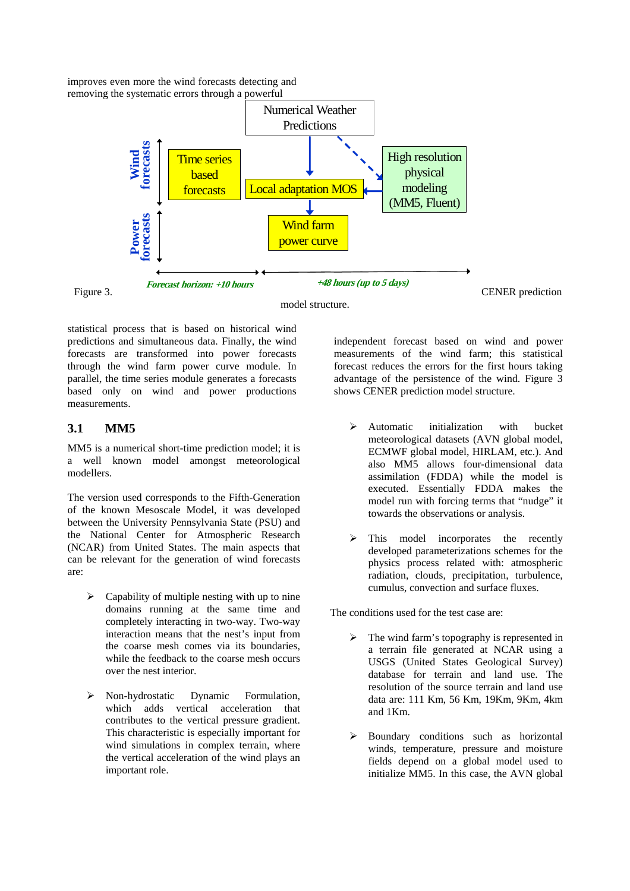improves even more the wind forecasts detecting and removing the systematic errors through a powerful



model structure.

statistical process that is based on historical wind predictions and simultaneous data. Finally, the wind forecasts are transformed into power forecasts through the wind farm power curve module. In parallel, the time series module generates a forecasts based only on wind and power productions measurements.

# **3.1 MM5**

MM5 is a numerical short-time prediction model; it is a well known model amongst meteorological modellers.

The version used corresponds to the Fifth-Generation of the known Mesoscale Model, it was developed between the University Pennsylvania State (PSU) and the National Center for Atmospheric Research (NCAR) from United States. The main aspects that can be relevant for the generation of wind forecasts are:

- Capability of multiple nesting with up to nine domains running at the same time and completely interacting in two-way. Two-way interaction means that the nest's input from the coarse mesh comes via its boundaries, while the feedback to the coarse mesh occurs over the nest interior.
- ¾ Non-hydrostatic Dynamic Formulation, which adds vertical acceleration that contributes to the vertical pressure gradient. This characteristic is especially important for wind simulations in complex terrain, where the vertical acceleration of the wind plays an important role.

independent forecast based on wind and power measurements of the wind farm; this statistical forecast reduces the errors for the first hours taking advantage of the persistence of the wind. Figure 3 shows CENER prediction model structure.

- $\triangleright$  Automatic initialization with bucket meteorological datasets (AVN global model, ECMWF global model, HIRLAM, etc.). And also MM5 allows four-dimensional data assimilation (FDDA) while the model is executed. Essentially FDDA makes the model run with forcing terms that "nudge" it towards the observations or analysis.
- $\triangleright$  This model incorporates the recently developed parameterizations schemes for the physics process related with: atmospheric radiation, clouds, precipitation, turbulence, cumulus, convection and surface fluxes.

The conditions used for the test case are:

- The wind farm's topography is represented in a terrain file generated at NCAR using a USGS (United States Geological Survey) database for terrain and land use. The resolution of the source terrain and land use data are: 111 Km, 56 Km, 19Km, 9Km, 4km and 1Km.
- ¾ Boundary conditions such as horizontal winds, temperature, pressure and moisture fields depend on a global model used to initialize MM5. In this case, the AVN global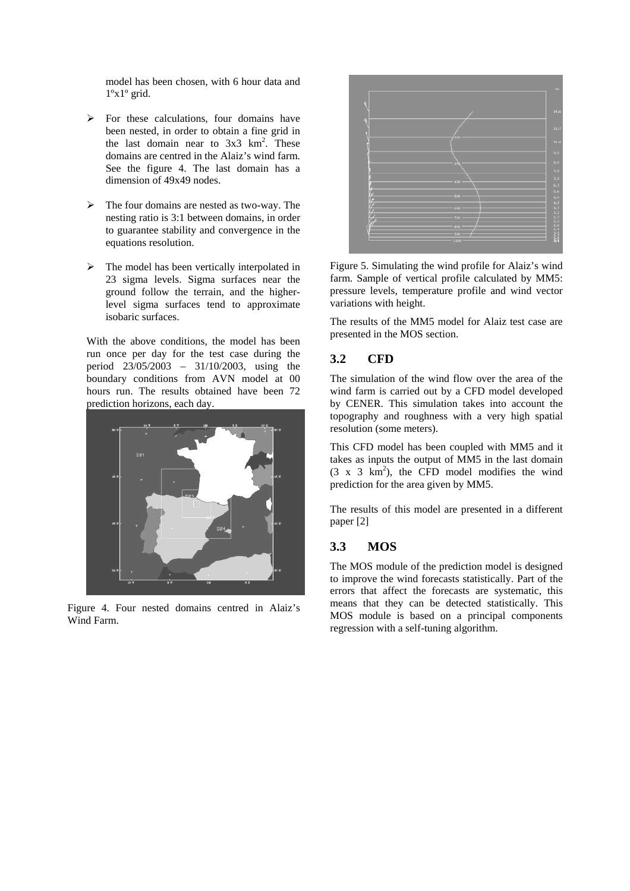model has been chosen, with 6 hour data and  $1^{\circ}x1^{\circ}$  grid.

- $\triangleright$  For these calculations, four domains have been nested, in order to obtain a fine grid in the last domain near to  $3x3 \text{ km}^2$ . These domains are centred in the Alaiz's wind farm. See the figure 4. The last domain has a dimension of 49x49 nodes.
- The four domains are nested as two-way. The nesting ratio is 3:1 between domains, in order to guarantee stability and convergence in the equations resolution.
- $\triangleright$  The model has been vertically interpolated in 23 sigma levels. Sigma surfaces near the ground follow the terrain, and the higherlevel sigma surfaces tend to approximate isobaric surfaces.

With the above conditions, the model has been run once per day for the test case during the period 23/05/2003 – 31/10/2003, using the boundary conditions from AVN model at 00 hours run. The results obtained have been 72 prediction horizons, each day.



Figure 4. Four nested domains centred in Alaiz's Wind Farm.



Figure 5. Simulating the wind profile for Alaiz's wind farm. Sample of vertical profile calculated by MM5: pressure levels, temperature profile and wind vector variations with height.

The results of the MM5 model for Alaiz test case are presented in the MOS section.

## **3.2 CFD**

The simulation of the wind flow over the area of the wind farm is carried out by a CFD model developed by CENER. This simulation takes into account the topography and roughness with a very high spatial resolution (some meters).

This CFD model has been coupled with MM5 and it takes as inputs the output of MM5 in the last domain  $(3 \times 3 \text{ km}^2)$ , the CFD model modifies the wind prediction for the area given by MM5.

The results of this model are presented in a different paper [2]

### **3.3 MOS**

The MOS module of the prediction model is designed to improve the wind forecasts statistically. Part of the errors that affect the forecasts are systematic, this means that they can be detected statistically. This MOS module is based on a principal components regression with a self-tuning algorithm.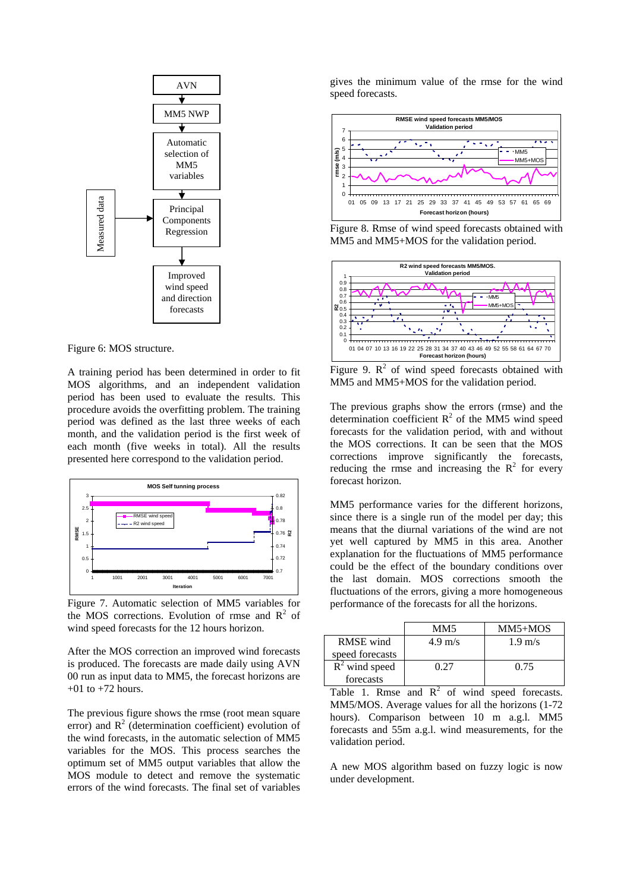

Figure 6: MOS structure.

A training period has been determined in order to fit MOS algorithms, and an independent validation period has been used to evaluate the results. This procedure avoids the overfitting problem. The training period was defined as the last three weeks of each month, and the validation period is the first week of each month (five weeks in total). All the results presented here correspond to the validation period.



Figure 7. Automatic selection of MM5 variables for the MOS corrections. Evolution of rmse and  $\mathbb{R}^2$  of wind speed forecasts for the 12 hours horizon.

After the MOS correction an improved wind forecasts is produced. The forecasts are made daily using AVN 00 run as input data to MM5, the forecast horizons are  $+01$  to  $+72$  hours.

The previous figure shows the rmse (root mean square error) and  $R^2$  (determination coefficient) evolution of the wind forecasts, in the automatic selection of MM5 variables for the MOS. This process searches the optimum set of MM5 output variables that allow the MOS module to detect and remove the systematic errors of the wind forecasts. The final set of variables

gives the minimum value of the rmse for the wind speed forecasts.



Figure 8. Rmse of wind speed forecasts obtained with MM5 and MM5+MOS for the validation period.



Figure 9.  $\mathbb{R}^2$  of wind speed forecasts obtained with MM5 and MM5+MOS for the validation period.

The previous graphs show the errors (rmse) and the determination coefficient  $R^2$  of the MM5 wind speed forecasts for the validation period, with and without the MOS corrections. It can be seen that the MOS corrections improve significantly the forecasts, reducing the rmse and increasing the  $R^2$  for every forecast horizon.

MM5 performance varies for the different horizons, since there is a single run of the model per day; this means that the diurnal variations of the wind are not yet well captured by MM5 in this area. Another explanation for the fluctuations of MM5 performance could be the effect of the boundary conditions over the last domain. MOS corrections smooth the fluctuations of the errors, giving a more homogeneous performance of the forecasts for all the horizons.

|                  | MM5               | $MM5+MOS$         |
|------------------|-------------------|-------------------|
| <b>RMSE</b> wind | $4.9 \text{ m/s}$ | $1.9 \text{ m/s}$ |
| speed forecasts  |                   |                   |
| $R^2$ wind speed | 0 27              | 0.75              |
| forecasts        |                   |                   |

Table 1. Rmse and  $R^2$  of wind speed forecasts. MM5/MOS. Average values for all the horizons (1-72 hours). Comparison between 10 m a.g.l. MM5 forecasts and 55m a.g.l. wind measurements, for the validation period.

A new MOS algorithm based on fuzzy logic is now under development.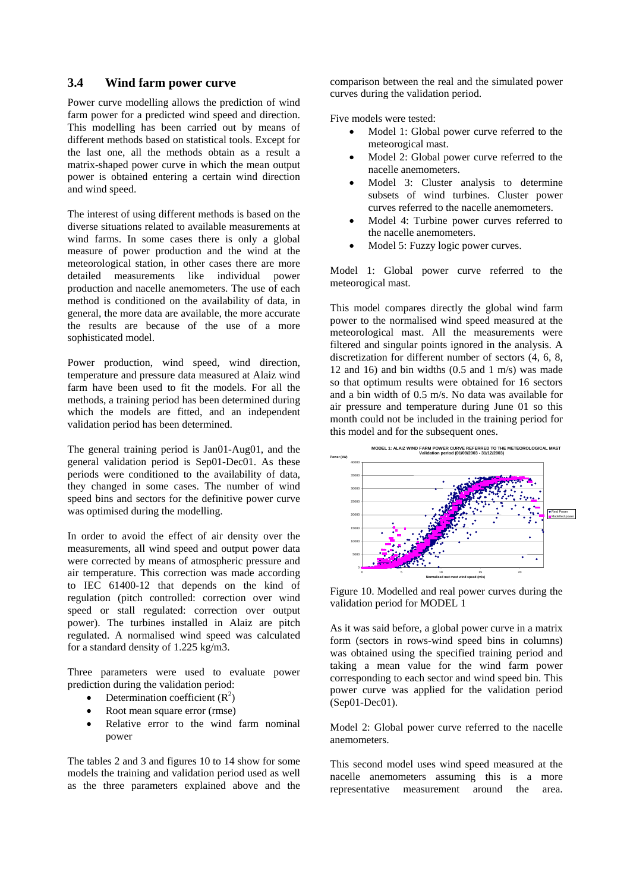#### **3.4 Wind farm power curve**

Power curve modelling allows the prediction of wind farm power for a predicted wind speed and direction. This modelling has been carried out by means of different methods based on statistical tools. Except for the last one, all the methods obtain as a result a matrix-shaped power curve in which the mean output power is obtained entering a certain wind direction and wind speed.

The interest of using different methods is based on the diverse situations related to available measurements at wind farms. In some cases there is only a global measure of power production and the wind at the meteorological station, in other cases there are more detailed measurements like individual power production and nacelle anemometers. The use of each method is conditioned on the availability of data, in general, the more data are available, the more accurate the results are because of the use of a more sophisticated model.

Power production, wind speed, wind direction, temperature and pressure data measured at Alaiz wind farm have been used to fit the models. For all the methods, a training period has been determined during which the models are fitted, and an independent validation period has been determined.

The general training period is Jan01-Aug01, and the general validation period is Sep01-Dec01. As these periods were conditioned to the availability of data, they changed in some cases. The number of wind speed bins and sectors for the definitive power curve was optimised during the modelling.

In order to avoid the effect of air density over the measurements, all wind speed and output power data were corrected by means of atmospheric pressure and air temperature. This correction was made according to IEC 61400-12 that depends on the kind of regulation (pitch controlled: correction over wind speed or stall regulated: correction over output power). The turbines installed in Alaiz are pitch regulated. A normalised wind speed was calculated for a standard density of 1.225 kg/m3.

Three parameters were used to evaluate power prediction during the validation period:

- Determination coefficient  $(R^2)$
- Root mean square error (rmse)
- Relative error to the wind farm nominal power

The tables 2 and 3 and figures 10 to 14 show for some models the training and validation period used as well as the three parameters explained above and the comparison between the real and the simulated power curves during the validation period.

Five models were tested:

- Model 1: Global power curve referred to the meteorogical mast.
- Model 2: Global power curve referred to the nacelle anemometers.
- Model 3: Cluster analysis to determine subsets of wind turbines. Cluster power curves referred to the nacelle anemometers.
- Model 4: Turbine power curves referred to the nacelle anemometers.
- Model 5: Fuzzy logic power curves.

Model 1: Global power curve referred to the meteorogical mast.

This model compares directly the global wind farm power to the normalised wind speed measured at the meteorological mast. All the measurements were filtered and singular points ignored in the analysis. A discretization for different number of sectors  $(4, 6, 8)$ , 12 and 16) and bin widths  $(0.5 \text{ and } 1 \text{ m/s})$  was made so that optimum results were obtained for 16 sectors and a bin width of 0.5 m/s. No data was available for air pressure and temperature during June 01 so this month could not be included in the training period for this model and for the subsequent ones.



Figure 10. Modelled and real power curves during the validation period for MODEL 1

As it was said before, a global power curve in a matrix form (sectors in rows-wind speed bins in columns) was obtained using the specified training period and taking a mean value for the wind farm power corresponding to each sector and wind speed bin. This power curve was applied for the validation period (Sep01-Dec01).

Model 2: Global power curve referred to the nacelle anemometers.

This second model uses wind speed measured at the nacelle anemometers assuming this is a more representative measurement around the area.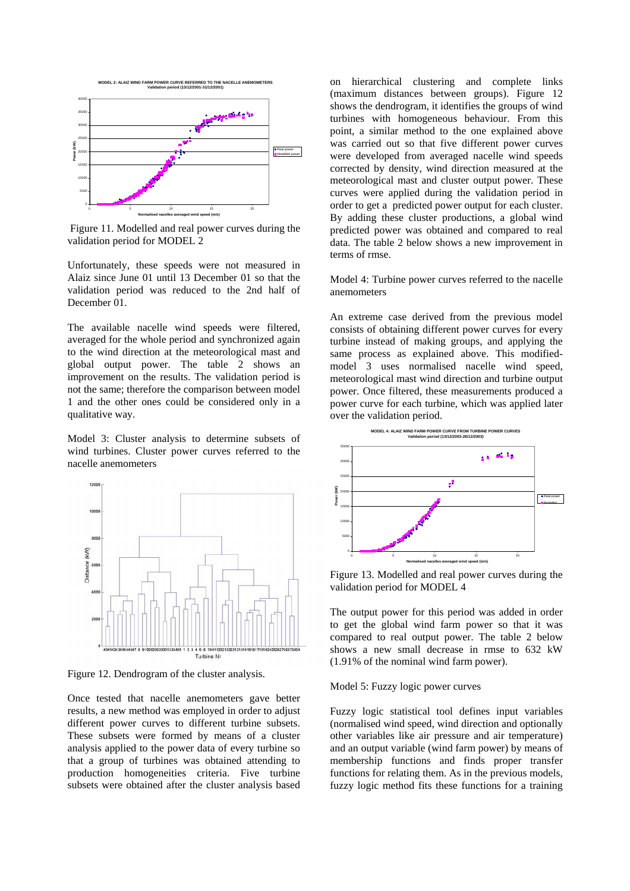

Figure 11. Modelled and real power curves during the validation period for MODEL 2

Unfortunately, these speeds were not measured in Alaiz since June 01 until 13 December 01 so that the validation period was reduced to the 2nd half of December 01.

The available nacelle wind speeds were filtered, averaged for the whole period and synchronized again to the wind direction at the meteorological mast and global output power. The table 2 shows an improvement on the results. The validation period is not the same; therefore the comparison between model 1 and the other ones could be considered only in a qualitative way.

Model 3: Cluster analysis to determine subsets of wind turbines. Cluster power curves referred to the nacelle anemometers



Figure 12. Dendrogram of the cluster analysis.

Once tested that nacelle anemometers gave better results, a new method was employed in order to adjust different power curves to different turbine subsets. These subsets were formed by means of a cluster analysis applied to the power data of every turbine so that a group of turbines was obtained attending to production homogeneities criteria. Five turbine subsets were obtained after the cluster analysis based

on hierarchical clustering and complete links (maximum distances between groups). Figure 12 shows the dendrogram, it identifies the groups of wind turbines with homogeneous behaviour. From this point, a similar method to the one explained above was carried out so that five different power curves were developed from averaged nacelle wind speeds corrected by density, wind direction measured at the meteorological mast and cluster output power. These curves were applied during the validation period in order to get a predicted power output for each cluster. By adding these cluster productions, a global wind predicted power was obtained and compared to real data. The table 2 below shows a new improvement in terms of rmse.

Model 4: Turbine power curves referred to the nacelle anemometers

An extreme case derived from the previous model consists of obtaining different power curves for every turbine instead of making groups, and applying the same process as explained above. This modifiedmodel 3 uses normalised nacelle wind speed, meteorological mast wind direction and turbine output power. Once filtered, these measurements produced a power curve for each turbine, which was applied later over the validation period.



Figure 13. Modelled and real power curves during the validation period for MODEL 4

The output power for this period was added in order to get the global wind farm power so that it was compared to real output power. The table 2 below shows a new small decrease in rmse to 632 kW (1.91% of the nominal wind farm power).

#### Model 5: Fuzzy logic power curves

Fuzzy logic statistical tool defines input variables (normalised wind speed, wind direction and optionally other variables like air pressure and air temperature) and an output variable (wind farm power) by means of membership functions and finds proper transfer functions for relating them. As in the previous models, fuzzy logic method fits these functions for a training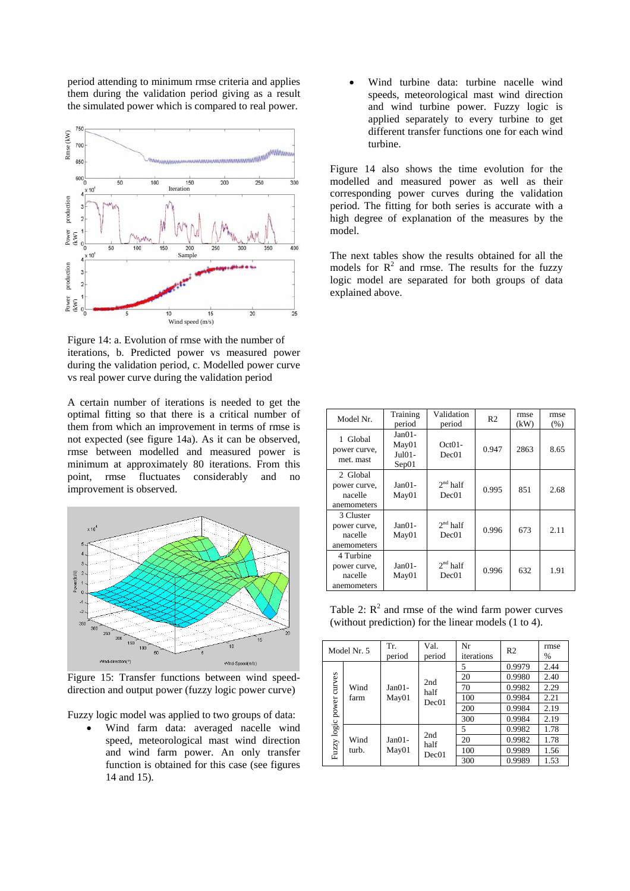period attending to minimum rmse criteria and applies them during the validation period giving as a result the simulated power which is compared to real power.



Figure 14: a. Evolution of rmse with the number of iterations, b. Predicted power vs measured power during the validation period, c. Modelled power curve vs real power curve during the validation period

A certain number of iterations is needed to get the optimal fitting so that there is a critical number of them from which an improvement in terms of rmse is not expected (see figure 14a). As it can be observed, rmse between modelled and measured power is minimum at approximately 80 iterations. From this point, rmse fluctuates considerably and no improvement is observed.



Figure 15: Transfer functions between wind speeddirection and output power (fuzzy logic power curve)

Fuzzy logic model was applied to two groups of data:

• Wind farm data: averaged nacelle wind speed, meteorological mast wind direction and wind farm power. An only transfer function is obtained for this case (see figures 14 and 15).

• Wind turbine data: turbine nacelle wind speeds, meteorological mast wind direction and wind turbine power. Fuzzy logic is applied separately to every turbine to get different transfer functions one for each wind turbine.

Figure 14 also shows the time evolution for the modelled and measured power as well as their corresponding power curves during the validation period. The fitting for both series is accurate with a high degree of explanation of the measures by the model.

Sample The next tables show the results obtained for all the models for  $R^2$  and rmse. The results for the fuzzy logic model are separated for both groups of data explained above.

| Model Nr.                                           | Training<br>period                   | Validation<br>period | R <sub>2</sub> | rmse<br>(kW) | rmse<br>(% ) |
|-----------------------------------------------------|--------------------------------------|----------------------|----------------|--------------|--------------|
| 1 Global<br>power curve,<br>met. mast               | $Jan01-$<br>May01<br>Jul01-<br>Sep01 | $Oct01-$<br>Dec01    | 0.947          | 2863         | 8.65         |
| 2 Global<br>power curve,<br>nacelle<br>anemometers  | $Jan01-$<br>May01                    | $2nd$ half<br>Dec01  | 0.995          | 851          | 2.68         |
| 3 Cluster<br>power curve,<br>nacelle<br>anemometers | $Jan01-$<br>May01                    | $2nd$ half<br>Dec01  | 0.996          | 673          | 2.11         |
| 4 Turbine<br>power curve,<br>nacelle<br>anemometers | $Jan01-$<br>May01                    | $2nd$ half<br>Dec01  | 0.996          | 632          | 1.91         |

Table 2:  $R^2$  and rmse of the wind farm power curves (without prediction) for the linear models (1 to 4).

|                                 | Model Nr. 5       | Tr.<br>period        | Val.<br>period | Nr<br>iterations | R <sub>2</sub> | rmse<br>% |
|---------------------------------|-------------------|----------------------|----------------|------------------|----------------|-----------|
| curves<br>Wind<br>farm<br>power |                   |                      |                | 5                | 0.9979         | 2.44      |
|                                 | $Jan01-$<br>May01 | 2nd<br>half<br>Dec01 | 20             | 0.9980           | 2.40           |           |
|                                 |                   |                      | 70             | 0.9982           | 2.29           |           |
|                                 |                   |                      | 100            | 0.9984           | 2.21           |           |
|                                 |                   |                      | 200            | 0.9984           | 2.19           |           |
|                                 |                   |                      | 300            | 0.9984           | 2.19           |           |
| Fuzzy logic<br>Wind<br>turb.    | $Jan01-$<br>May01 | 2nd<br>half<br>Dec01 | 5              | 0.9982           | 1.78           |           |
|                                 |                   |                      | 20             | 0.9982           | 1.78           |           |
|                                 |                   |                      | 100            | 0.9989           | 1.56           |           |
|                                 |                   |                      |                | 300              | 0.9989         | 1.53      |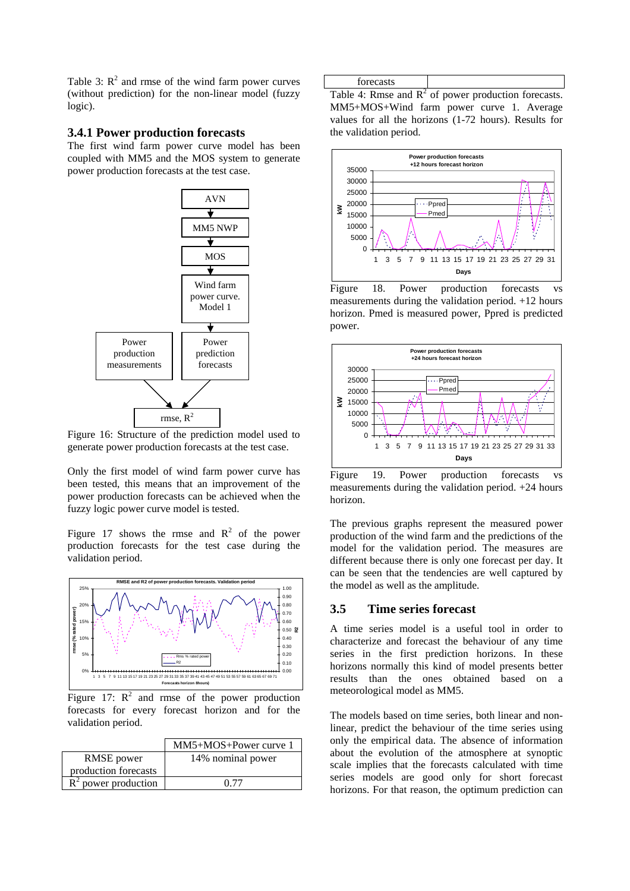Table 3:  $R^2$  and rmse of the wind farm power curves (without prediction) for the non-linear model (fuzzy logic).

#### **3.4.1 Power production forecasts**

The first wind farm power curve model has been coupled with MM5 and the MOS system to generate power production forecasts at the test case.



Figure 16: Structure of the prediction model used to generate power production forecasts at the test case.

Only the first model of wind farm power curve has been tested, this means that an improvement of the power production forecasts can be achieved when the fuzzy logic power curve model is tested.

Figure 17 shows the rmse and  $R^2$  of the power production forecasts for the test case during the validation period.



Figure 17:  $R^2$  and rmse of the power production forecasts for every forecast horizon and for the validation period.

|                        | $MM5+MOS+Power curve 1$ |
|------------------------|-------------------------|
| RMSE power             | 14% nominal power       |
| production forecasts   |                         |
| $R^2$ power production |                         |

| forecasts |                                                        |
|-----------|--------------------------------------------------------|
|           | Table 4: Rmse and $R^2$ of power production forecasts. |

MM5+MOS+Wind farm power curve 1. Average values for all the horizons (1-72 hours). Results for the validation period.



Figure 18. Power production forecasts vs measurements during the validation period. +12 hours horizon. Pmed is measured power, Ppred is predicted power.



Figure 19. Power production forecasts vs measurements during the validation period. +24 hours horizon.

The previous graphs represent the measured power production of the wind farm and the predictions of the model for the validation period. The measures are different because there is only one forecast per day. It can be seen that the tendencies are well captured by the model as well as the amplitude.

#### **3.5 Time series forecast**

A time series model is a useful tool in order to characterize and forecast the behaviour of any time series in the first prediction horizons. In these horizons normally this kind of model presents better results than the ones obtained based on a meteorological model as MM5.

The models based on time series, both linear and nonlinear, predict the behaviour of the time series using only the empirical data. The absence of information about the evolution of the atmosphere at synoptic scale implies that the forecasts calculated with time series models are good only for short forecast horizons. For that reason, the optimum prediction can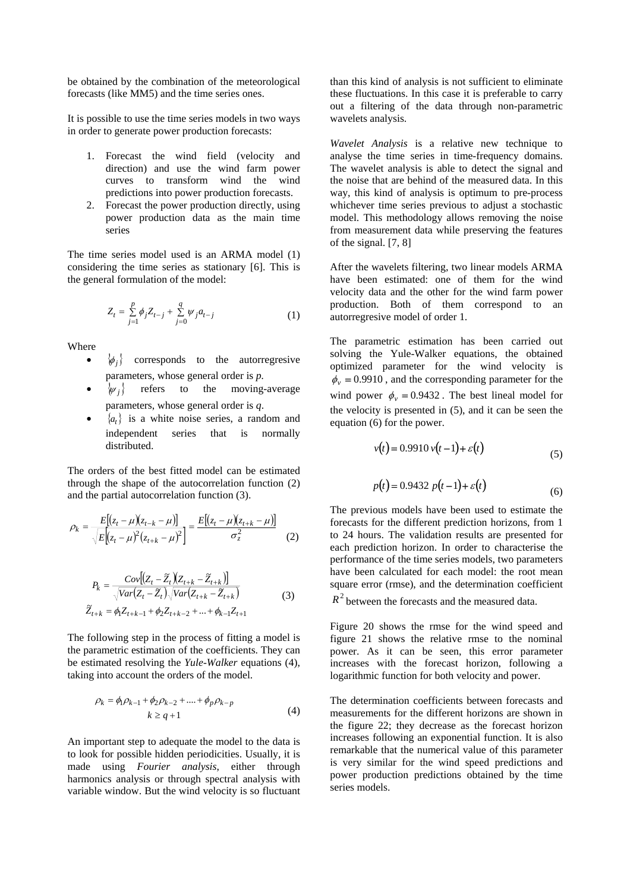be obtained by the combination of the meteorological forecasts (like MM5) and the time series ones.

It is possible to use the time series models in two ways in order to generate power production forecasts:

- 1. Forecast the wind field (velocity and direction) and use the wind farm power curves to transform wind the wind predictions into power production forecasts.
- 2. Forecast the power production directly, using power production data as the main time series

The time series model used is an ARMA model [\(1\)](#page-9-0) considering the time series as stationary [6]. This is the general formulation of the model:

$$
Z_{t} = \sum_{j=1}^{p} \phi_{j} Z_{t-j} + \sum_{j=0}^{q} \psi_{j} a_{t-j}
$$
 (1)

Where

- $\{\phi_i\}$  corresponds to the autorregresive parameters, whose general order is *p.*
- $\{\psi_i\}$  refers to the moving-average parameters, whose general order is *q*.
- $\{a_t\}$  is a white noise series, a random and independent series that is normally distributed.

The orders of the best fitted model can be estimated through the shape of the autocorrelation function [\(2\)](#page-9-1) and the partial autocorrelation function [\(3\)](#page-9-2).

$$
\rho_k = \frac{E[(z_t - \mu)(z_{t-k} - \mu)]}{\sqrt{E[(z_t - \mu)^2 (z_{t+k} - \mu)^2]}} = \frac{E[(z_t - \mu)(z_{t+k} - \mu)]}{\sigma_z^2}
$$
(2)

$$
P_{k} = \frac{Cov[(Z_{t} - Z_{t})(Z_{t+k} - Z_{t+k})]}{\sqrt{Var(Z_{t} - \tilde{Z}_{t})}\sqrt{Var(Z_{t+k} - \tilde{Z}_{t+k})}}
$$
  

$$
\tilde{Z}_{t+k} = \phi_{1}Z_{t+k-1} + \phi_{2}Z_{t+k-2} + \dots + \phi_{k-1}Z_{t+1}
$$
 (3)

The following step in the process of fitting a model is the parametric estimation of the coefficients. They can be estimated resolving the *Yule-Walker* equations [\(4\)](#page-9-3), taking into account the orders of the model.

$$
\rho_k = \phi_1 \rho_{k-1} + \phi_2 \rho_{k-2} + \dots + \phi_p \rho_{k-p}
$$
  

$$
k \ge q+1
$$
 (4)

An important step to adequate the model to the data is to look for possible hidden periodicities. Usually, it is made using *Fourier analysis*, either through harmonics analysis or through spectral analysis with variable window. But the wind velocity is so fluctuant than this kind of analysis is not sufficient to eliminate these fluctuations. In this case it is preferable to carry out a filtering of the data through non-parametric wavelets analysis.

*Wavelet Analysis* is a relative new technique to analyse the time series in time-frequency domains. The wavelet analysis is able to detect the signal and the noise that are behind of the measured data. In this way, this kind of analysis is optimum to pre-process whichever time series previous to adjust a stochastic model. This methodology allows removing the noise from measurement data while preserving the features of the signal. [7, 8]

After the wavelets filtering, two linear models ARMA have been estimated: one of them for the wind velocity data and the other for the wind farm power production. Both of them correspond to an autorregresive model of order 1.

<span id="page-9-0"></span>The parametric estimation has been carried out solving the Yule-Walker equations, the obtained optimized parameter for the wind velocity is  $\phi_v = 0.9910$ , and the corresponding parameter for the wind power  $\phi_y = 0.9432$ . The best lineal model for the velocity is presented in [\(5\)](#page-9-4), and it can be seen the equation [\(6\)](#page-9-5) for the power.

<span id="page-9-4"></span>
$$
v(t) = 0.9910 v(t-1) + \varepsilon(t)
$$
\n(5)

<span id="page-9-5"></span>
$$
p(t) = 0.9432 \ p(t-1) + \varepsilon(t)
$$
\n(6)

<span id="page-9-1"></span>The previous models have been used to estimate the forecasts for the different prediction horizons, from 1 to 24 hours. The validation results are presented for each prediction horizon. In order to characterise the performance of the time series models, two parameters have been calculated for each model: the root mean square error (rmse), and the determination coefficient

<span id="page-9-2"></span> $R^2$  between the forecasts and the measured data.

Figure 20 shows the rmse for the wind speed and figure 21 shows the relative rmse to the nominal power. As it can be seen, this error parameter increases with the forecast horizon, following a logarithmic function for both velocity and power.

<span id="page-9-3"></span>The determination coefficients between forecasts and measurements for the different horizons are shown in the figure 22; they decrease as the forecast horizon increases following an exponential function. It is also remarkable that the numerical value of this parameter is very similar for the wind speed predictions and power production predictions obtained by the time series models.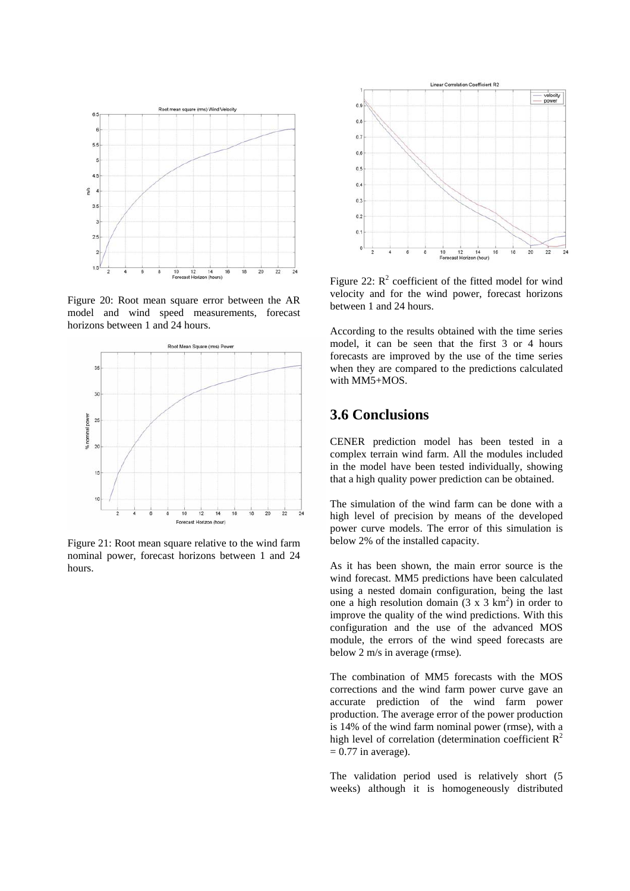

Figure 20: Root mean square error between the AR model and wind speed measurements, forecast horizons between 1 and 24 hours.



Figure 21: Root mean square relative to the wind farm nominal power, forecast horizons between 1 and 24 hours.



Figure 22:  $R^2$  coefficient of the fitted model for wind velocity and for the wind power, forecast horizons between 1 and 24 hours.

According to the results obtained with the time series model, it can be seen that the first 3 or 4 hours forecasts are improved by the use of the time series when they are compared to the predictions calculated with MM5+MOS.

# **3.6 Conclusions**

CENER prediction model has been tested in a complex terrain wind farm. All the modules included in the model have been tested individually, showing that a high quality power prediction can be obtained.

The simulation of the wind farm can be done with a high level of precision by means of the developed power curve models. The error of this simulation is below 2% of the installed capacity.

As it has been shown, the main error source is the wind forecast. MM5 predictions have been calculated using a nested domain configuration, being the last one a high resolution domain  $(3 \times 3 \text{ km}^2)$  in order to improve the quality of the wind predictions. With this configuration and the use of the advanced MOS module, the errors of the wind speed forecasts are below 2 m/s in average (rmse).

The combination of MM5 forecasts with the MOS corrections and the wind farm power curve gave an accurate prediction of the wind farm power production. The average error of the power production is 14% of the wind farm nominal power (rmse), with a high level of correlation (determination coefficient  $R^2$  $= 0.77$  in average).

The validation period used is relatively short (5 weeks) although it is homogeneously distributed